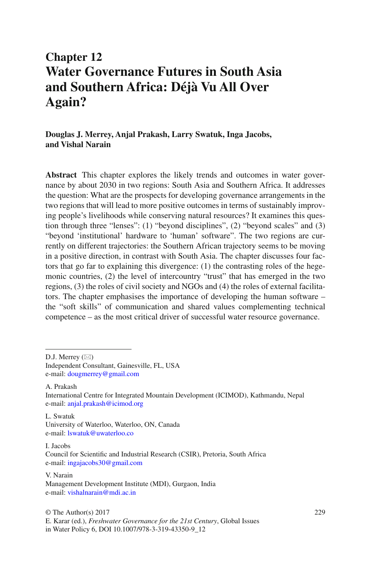# **Chapter 12 Water Governance Futures in South Asia and Southern Africa: Déjà Vu All Over Again?**

 **Douglas J. Merrey, Anjal Prakash, Larry Swatuk, Inga Jacobs, and Vishal Narain** 

 **Abstract** This chapter explores the likely trends and outcomes in water governance by about 2030 in two regions: South Asia and Southern Africa. It addresses the question: What are the prospects for developing governance arrangements in the two regions that will lead to more positive outcomes in terms of sustainably improving people's livelihoods while conserving natural resources? It examines this question through three "lenses": (1) "beyond disciplines", (2) "beyond scales" and (3) "beyond 'institutional' hardware to 'human' software". The two regions are currently on different trajectories: the Southern African trajectory seems to be moving in a positive direction, in contrast with South Asia. The chapter discusses four factors that go far to explaining this divergence: (1) the contrasting roles of the hegemonic countries, (2) the level of intercountry "trust" that has emerged in the two regions, (3) the roles of civil society and NGOs and (4) the roles of external facilitators. The chapter emphasises the importance of developing the human software – the "soft skills" of communication and shared values complementing technical competence – as the most critical driver of successful water resource governance.

D.J. Merrey  $(\boxtimes)$ 

Independent Consultant, Gainesville, FL, USA e-mail: [dougmerrey@gmail.com](mailto:dougmerrey@gmail.com)

A. Prakash

 International Centre for Integrated Mountain Development (ICIMOD) , Kathmandu , Nepal e-mail: [anjal.prakash@icimod.org](mailto:anjal.prakash@icimod.org)

 L. Swatuk University of Waterloo, Waterloo, ON, Canada e-mail: [lswatuk@uwaterloo.co](mailto:lswatuk@uwaterloo.co)

 I. Jacobs Council for Scientific and Industrial Research (CSIR), Pretoria, South Africa e-mail: [ingajacobs30@gmail.com](mailto:ingajacobs30@gmail.com)

 V. Narain Management Development Institute (MDI), Gurgaon, India e-mail: [vishalnarain@mdi.ac.in](mailto:vishalnarain@mdi.ac.in)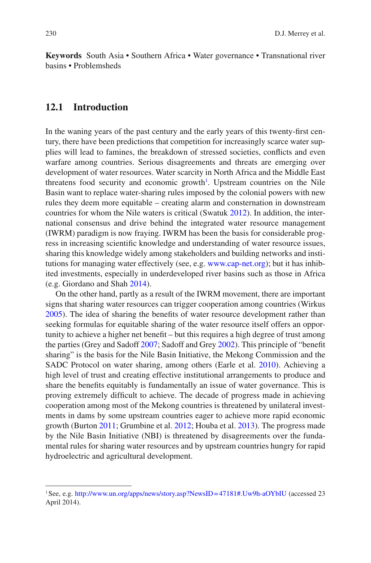**Keywords** South Asia • Southern Africa • Water governance • Transnational river basins • Problemsheds

#### **12.1 Introduction**

In the waning years of the past century and the early years of this twenty-first century, there have been predictions that competition for increasingly scarce water supplies will lead to famines, the breakdown of stressed societies, conflicts and even warfare among countries. Serious disagreements and threats are emerging over development of water resources. Water scarcity in North Africa and the Middle East threatens food security and economic growth<sup>1</sup>. Upstream countries on the Nile Basin want to replace water-sharing rules imposed by the colonial powers with new rules they deem more equitable – creating alarm and consternation in downstream countries for whom the Nile waters is critical (Swatuk [2012 \)](#page-21-0). In addition, the international consensus and drive behind the integrated water resource management (IWRM) paradigm is now fraying. IWRM has been the basis for considerable progress in increasing scientific knowledge and understanding of water resource issues, sharing this knowledge widely among stakeholders and building networks and institutions for managing water effectively (see, e.g. [www.cap-net.org\)](http://www.cap-net.org/); but it has inhibited investments, especially in underdeveloped river basins such as those in Africa (e.g. Giordano and Shah 2014).

 On the other hand, partly as a result of the IWRM movement, there are important signs that sharing water resources can trigger cooperation among countries (Wirkus 2005). The idea of sharing the benefits of water resource development rather than seeking formulas for equitable sharing of the water resource itself offers an opportunity to achieve a higher net benefit – but this requires a high degree of trust among the parties (Grey and Sadoff 2007; Sadoff and Grey [2002](#page-20-0)). This principle of "benefit" sharing" is the basis for the Nile Basin Initiative, the Mekong Commission and the SADC Protocol on water sharing, among others (Earle et al. 2010). Achieving a high level of trust and creating effective institutional arrangements to produce and share the benefits equitably is fundamentally an issue of water governance. This is proving extremely difficult to achieve. The decade of progress made in achieving cooperation among most of the Mekong countries is threatened by unilateral investments in dams by some upstream countries eager to achieve more rapid economic growth (Burton [2011](#page-19-0); Grumbine et al. 2012; Houba et al. 2013). The progress made by the Nile Basin Initiative (NBI) is threatened by disagreements over the fundamental rules for sharing water resources and by upstream countries hungry for rapid hydroelectric and agricultural development.

<sup>1</sup> See, e.g. [http://www.un.org/apps/news/story.asp?NewsID = 47181#.Uw9h-aOYbIU](http://www.un.org/apps/news/story.asp?NewsID=47181#.Uw9h-aOYbIU) (accessed 23 April 2014).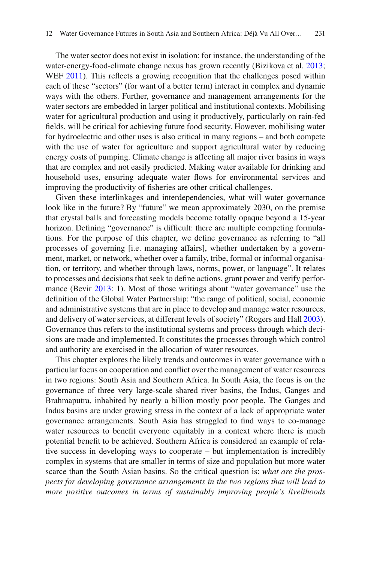The water sector does not exist in isolation: for instance, the understanding of the water-energy-food-climate change nexus has grown recently (Bizikova et al. 2013; WEF  $2011$ ). This reflects a growing recognition that the challenges posed within each of these "sectors" (for want of a better term) interact in complex and dynamic ways with the others. Further, governance and management arrangements for the water sectors are embedded in larger political and institutional contexts. Mobilising water for agricultural production and using it productively, particularly on rain-fed fields, will be critical for achieving future food security. However, mobilising water for hydroelectric and other uses is also critical in many regions – and both compete with the use of water for agriculture and support agricultural water by reducing energy costs of pumping. Climate change is affecting all major river basins in ways that are complex and not easily predicted. Making water available for drinking and household uses, ensuring adequate water flows for environmental services and improving the productivity of fisheries are other critical challenges.

 Given these interlinkages and interdependencies, what will water governance look like in the future? By "future" we mean approximately 2030, on the premise that crystal balls and forecasting models become totally opaque beyond a 15-year horizon. Defining "governance" is difficult: there are multiple competing formulations. For the purpose of this chapter, we define governance as referring to "all processes of governing [i.e. managing affairs], whether undertaken by a government, market, or network, whether over a family, tribe, formal or informal organisation, or territory, and whether through laws, norms, power, or language". It relates to processes and decisions that seek to define actions, grant power and verify performance (Bevir 2013: 1). Most of those writings about "water governance" use the definition of the Global Water Partnership: "the range of political, social, economic and administrative systems that are in place to develop and manage water resources, and delivery of water services, at different levels of society" (Rogers and Hall 2003). Governance thus refers to the institutional systems and process through which decisions are made and implemented. It constitutes the processes through which control and authority are exercised in the allocation of water resources.

 This chapter explores the likely trends and outcomes in water governance with a particular focus on cooperation and conflict over the management of water resources in two regions: South Asia and Southern Africa. In South Asia, the focus is on the governance of three very large-scale shared river basins, the Indus, Ganges and Brahmaputra, inhabited by nearly a billion mostly poor people. The Ganges and Indus basins are under growing stress in the context of a lack of appropriate water governance arrangements. South Asia has struggled to find ways to co-manage water resources to benefit everyone equitably in a context where there is much potential benefit to be achieved. Southern Africa is considered an example of relative success in developing ways to cooperate – but implementation is incredibly complex in systems that are smaller in terms of size and population but more water scarce than the South Asian basins. So the critical question is: *what are the prospects for developing governance arrangements in the two regions that will lead to more positive outcomes in terms of sustainably improving people's livelihoods*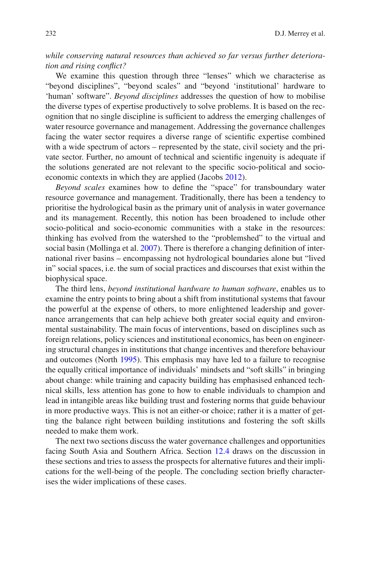*while conserving natural resources than achieved so far versus further deterioration and rising conflict?* 

 We examine this question through three "lenses" which we characterise as "beyond disciplines", "beyond scales" and "beyond 'institutional' hardware to 'human' software". *Beyond disciplines* addresses the question of how to mobilise the diverse types of expertise productively to solve problems. It is based on the recognition that no single discipline is sufficient to address the emerging challenges of water resource governance and management. Addressing the governance challenges facing the water sector requires a diverse range of scientific expertise combined with a wide spectrum of actors – represented by the state, civil society and the private sector. Further, no amount of technical and scientific ingenuity is adequate if the solutions generated are not relevant to the specific socio-political and socioeconomic contexts in which they are applied (Jacobs 2012).

*Beyond scales* examines how to define the "space" for transboundary water resource governance and management. Traditionally, there has been a tendency to prioritise the hydrological basin as the primary unit of analysis in water governance and its management. Recently, this notion has been broadened to include other socio-political and socio-economic communities with a stake in the resources: thinking has evolved from the watershed to the "problemshed" to the virtual and social basin (Mollinga et al. [2007](#page-20-0)). There is therefore a changing definition of international river basins – encompassing not hydrological boundaries alone but "lived in" social spaces, i.e. the sum of social practices and discourses that exist within the biophysical space.

 The third lens, *beyond institutional hardware to human software* , enables us to examine the entry points to bring about a shift from institutional systems that favour the powerful at the expense of others, to more enlightened leadership and governance arrangements that can help achieve both greater social equity and environmental sustainability. The main focus of interventions, based on disciplines such as foreign relations, policy sciences and institutional economics, has been on engineering structural changes in institutions that change incentives and therefore behaviour and outcomes (North [1995](#page-20-0)). This emphasis may have led to a failure to recognise the equally critical importance of individuals' mindsets and "soft skills" in bringing about change: while training and capacity building has emphasised enhanced technical skills, less attention has gone to how to enable individuals to champion and lead in intangible areas like building trust and fostering norms that guide behaviour in more productive ways. This is not an either-or choice; rather it is a matter of getting the balance right between building institutions and fostering the soft skills needed to make them work.

 The next two sections discuss the water governance challenges and opportunities facing South Asia and Southern Africa. Section [12.4](#page-14-0) draws on the discussion in these sections and tries to assess the prospects for alternative futures and their implications for the well-being of the people. The concluding section briefly characterises the wider implications of these cases.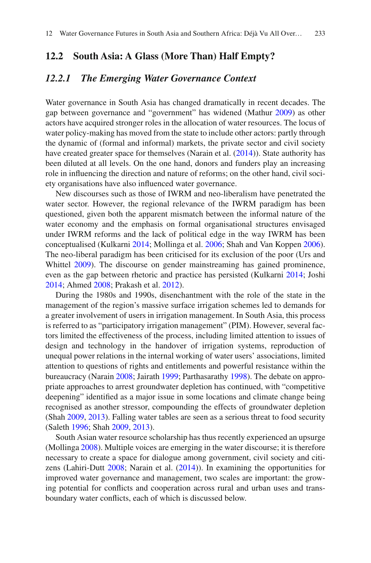## **12.2 South Asia: A Glass (More Than) Half Empty?**

#### *12.2.1 The Emerging Water Governance Context*

 Water governance in South Asia has changed dramatically in recent decades. The gap between governance and "government" has widened (Mathur [2009](#page-20-0)) as other actors have acquired stronger roles in the allocation of water resources. The locus of water policy-making has moved from the state to include other actors: partly through the dynamic of (formal and informal) markets, the private sector and civil society have created greater space for themselves (Narain et al. (2014)). State authority has been diluted at all levels. On the one hand, donors and funders play an increasing role in influencing the direction and nature of reforms; on the other hand, civil society organisations have also influenced water governance.

 New discourses such as those of IWRM and neo-liberalism have penetrated the water sector. However, the regional relevance of the IWRM paradigm has been questioned, given both the apparent mismatch between the informal nature of the water economy and the emphasis on formal organisational structures envisaged under IWRM reforms and the lack of political edge in the way IWRM has been conceptualised (Kulkarni 2014; Mollinga et al. [2006](#page-20-0); Shah and Van Koppen 2006). The neo-liberal paradigm has been criticised for its exclusion of the poor (Urs and Whittel 2009). The discourse on gender mainstreaming has gained prominence, even as the gap between rhetoric and practice has persisted (Kulkarni [2014](#page-19-0); Joshi 2014; Ahmed [2008](#page-18-0); Prakash et al. [2012](#page-20-0)).

 During the 1980s and 1990s, disenchantment with the role of the state in the management of the region's massive surface irrigation schemes led to demands for a greater involvement of users in irrigation management. In South Asia, this process is referred to as "participatory irrigation management" (PIM). However, several factors limited the effectiveness of the process, including limited attention to issues of design and technology in the handover of irrigation systems, reproduction of unequal power relations in the internal working of water users' associations, limited attention to questions of rights and entitlements and powerful resistance within the bureaucracy (Narain [2008](#page-20-0); Jairath [1999](#page-19-0); Parthasarathy 1998). The debate on appropriate approaches to arrest groundwater depletion has continued, with "competitive deepening" identified as a major issue in some locations and climate change being recognised as another stressor, compounding the effects of groundwater depletion (Shah 2009, 2013). Falling water tables are seen as a serious threat to food security (Saleth 1996; Shah [2009](#page-21-0), [2013](#page-21-0)).

 South Asian water resource scholarship has thus recently experienced an upsurge (Mollinga 2008). Multiple voices are emerging in the water discourse; it is therefore necessary to create a space for dialogue among government, civil society and citizens (Lahiri-Dutt  $2008$ ; Narain et al.  $(2014)$ ). In examining the opportunities for improved water governance and management, two scales are important: the growing potential for conflicts and cooperation across rural and urban uses and transboundary water conflicts, each of which is discussed below.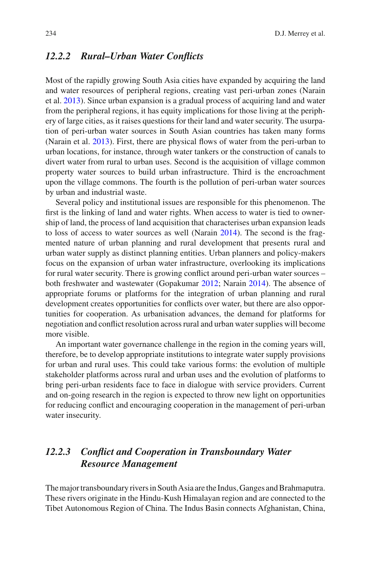## 12.2.2 Rural–Urban Water Conflicts

 Most of the rapidly growing South Asia cities have expanded by acquiring the land and water resources of peripheral regions, creating vast peri-urban zones (Narain et al. [2013](#page-20-0) ). Since urban expansion is a gradual process of acquiring land and water from the peripheral regions, it has equity implications for those living at the periphery of large cities, as it raises questions for their land and water security. The usurpation of peri-urban water sources in South Asian countries has taken many forms (Narain et al.  $2013$ ). First, there are physical flows of water from the peri-urban to urban locations, for instance, through water tankers or the construction of canals to divert water from rural to urban uses. Second is the acquisition of village common property water sources to build urban infrastructure. Third is the encroachment upon the village commons. The fourth is the pollution of peri-urban water sources by urban and industrial waste.

 Several policy and institutional issues are responsible for this phenomenon. The first is the linking of land and water rights. When access to water is tied to ownership of land, the process of land acquisition that characterises urban expansion leads to loss of access to water sources as well (Narain [2014](#page-20-0)). The second is the fragmented nature of urban planning and rural development that presents rural and urban water supply as distinct planning entities. Urban planners and policy-makers focus on the expansion of urban water infrastructure, overlooking its implications for rural water security. There is growing conflict around peri-urban water sources – both freshwater and wastewater (Gopakumar 2012; Narain 2014). The absence of appropriate forums or platforms for the integration of urban planning and rural development creates opportunities for conflicts over water, but there are also opportunities for cooperation. As urbanisation advances, the demand for platforms for negotiation and conflict resolution across rural and urban water supplies will become more visible.

 An important water governance challenge in the region in the coming years will, therefore, be to develop appropriate institutions to integrate water supply provisions for urban and rural uses. This could take various forms: the evolution of multiple stakeholder platforms across rural and urban uses and the evolution of platforms to bring peri-urban residents face to face in dialogue with service providers. Current and on-going research in the region is expected to throw new light on opportunities for reducing conflict and encouraging cooperation in the management of peri-urban water insecurity.

# 12.2.3 Conflict and Cooperation in Transboundary Water *Resource Management*

 The major transboundary rivers in South Asia are the Indus, Ganges and Brahmaputra. These rivers originate in the Hindu-Kush Himalayan region and are connected to the Tibet Autonomous Region of China. The Indus Basin connects Afghanistan, China,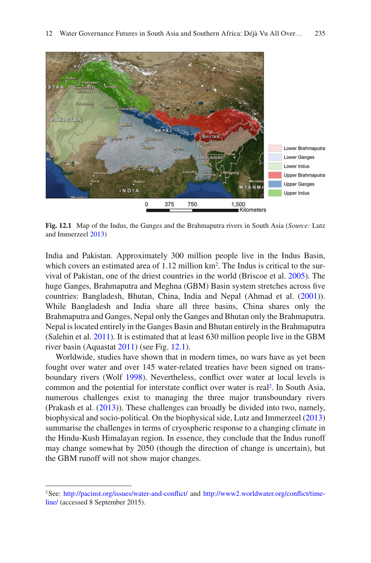

**Fig. 12.1** Map of the Indus, the Ganges and the Brahmaputra rivers in South Asia (*Source:* Lutz and Immerzeel [2013 \)](#page-20-0)

India and Pakistan. Approximately 300 million people live in the Indus Basin, which covers an estimated area of  $1.12$  million  $km<sup>2</sup>$ . The Indus is critical to the survival of Pakistan, one of the driest countries in the world (Briscoe et al. [2005 \)](#page-19-0). The huge Ganges, Brahmaputra and Meghna (GBM) Basin system stretches across five countries: Bangladesh, Bhutan, China, India and Nepal (Ahmad et al. (2001)). While Bangladesh and India share all three basins, China shares only the Brahmaputra and Ganges, Nepal only the Ganges and Bhutan only the Brahmaputra. Nepal is located entirely in the Ganges Basin and Bhutan entirely in the Brahmaputra (Salehin et al.  $2011$ ). It is estimated that at least 630 million people live in the GBM river basin (Aquastat  $2011$ ) (see Fig. 12.1).

 Worldwide, studies have shown that in modern times, no wars have as yet been fought over water and over 145 water-related treaties have been signed on transboundary rivers (Wolf 1998). Nevertheless, conflict over water at local levels is common and the potential for interstate conflict over water is real<sup>2</sup>. In South Asia, numerous challenges exist to managing the three major transboundary rivers (Prakash et al.  $(2013)$ ). These challenges can broadly be divided into two, namely, biophysical and socio-political. On the biophysical side, Lutz and Immerzeel (2013) summarise the challenges in terms of cryospheric response to a changing climate in the Hindu-Kush Himalayan region. In essence, they conclude that the Indus runoff may change somewhat by 2050 (though the direction of change is uncertain), but the GBM runoff will not show major changes.

<sup>&</sup>lt;sup>2</sup> See: http://pacinst.org/issues/water-and-conflict/ and http://www2.worldwater.org/conflict/time[line/](http://www2.worldwater.org/conflict/timeline/) (accessed 8 September 2015).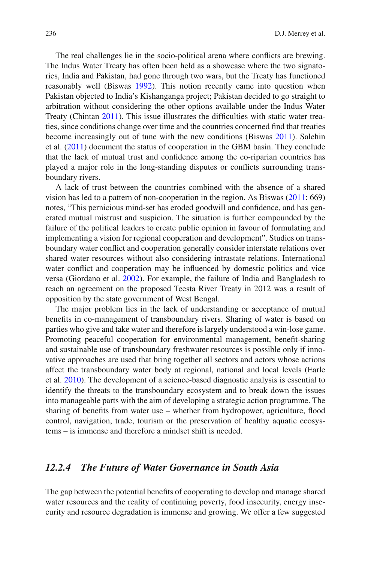The real challenges lie in the socio-political arena where conflicts are brewing. The Indus Water Treaty has often been held as a showcase where the two signatories, India and Pakistan, had gone through two wars, but the Treaty has functioned reasonably well (Biswas [1992](#page-18-0)). This notion recently came into question when Pakistan objected to India's Kishanganga project; Pakistan decided to go straight to arbitration without considering the other options available under the Indus Water Treaty (Chintan  $2011$ ). This issue illustrates the difficulties with static water treaties, since conditions change over time and the countries concerned find that treaties become increasingly out of tune with the new conditions (Biswas [2011](#page-18-0)). Salehin et al.  $(2011)$  document the status of cooperation in the GBM basin. They conclude that the lack of mutual trust and confidence among the co-riparian countries has played a major role in the long-standing disputes or conflicts surrounding transboundary rivers.

 A lack of trust between the countries combined with the absence of a shared vision has led to a pattern of non-cooperation in the region. As Biswas  $(2011:669)$ notes, "This pernicious mind-set has eroded goodwill and confidence, and has generated mutual mistrust and suspicion. The situation is further compounded by the failure of the political leaders to create public opinion in favour of formulating and implementing a vision for regional cooperation and development". Studies on transboundary water conflict and cooperation generally consider interstate relations over shared water resources without also considering intrastate relations. International water conflict and cooperation may be influenced by domestic politics and vice versa (Giordano et al. [2002](#page-19-0) ). For example, the failure of India and Bangladesh to reach an agreement on the proposed Teesta River Treaty in 2012 was a result of opposition by the state government of West Bengal.

 The major problem lies in the lack of understanding or acceptance of mutual benefits in co-management of transboundary rivers. Sharing of water is based on parties who give and take water and therefore is largely understood a win-lose game. Promoting peaceful cooperation for environmental management, benefit-sharing and sustainable use of transboundary freshwater resources is possible only if innovative approaches are used that bring together all sectors and actors whose actions affect the transboundary water body at regional, national and local levels (Earle et al. [2010](#page-19-0) ). The development of a science-based diagnostic analysis is essential to identify the threats to the transboundary ecosystem and to break down the issues into manageable parts with the aim of developing a strategic action programme. The sharing of benefits from water use – whether from hydropower, agriculture, flood control, navigation, trade, tourism or the preservation of healthy aquatic ecosystems – is immense and therefore a mindset shift is needed.

#### *12.2.4 The Future of Water Governance in South Asia*

The gap between the potential benefits of cooperating to develop and manage shared water resources and the reality of continuing poverty, food insecurity, energy insecurity and resource degradation is immense and growing. We offer a few suggested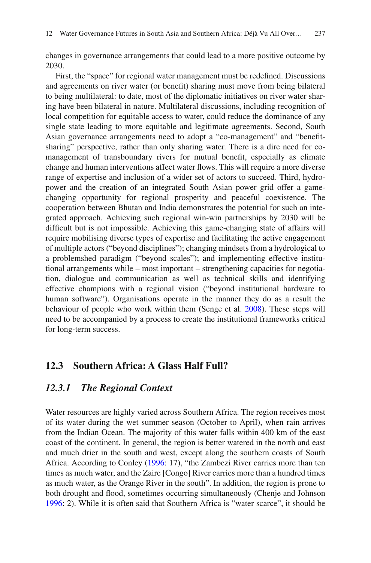changes in governance arrangements that could lead to a more positive outcome by 2030.

First, the "space" for regional water management must be redefined. Discussions and agreements on river water (or benefit) sharing must move from being bilateral to being multilateral: to date, most of the diplomatic initiatives on river water sharing have been bilateral in nature. Multilateral discussions, including recognition of local competition for equitable access to water, could reduce the dominance of any single state leading to more equitable and legitimate agreements. Second, South Asian governance arrangements need to adopt a "co-management" and "benefitsharing" perspective, rather than only sharing water. There is a dire need for comanagement of transboundary rivers for mutual benefit, especially as climate change and human interventions affect water flows. This will require a more diverse range of expertise and inclusion of a wider set of actors to succeed. Third, hydropower and the creation of an integrated South Asian power grid offer a gamechanging opportunity for regional prosperity and peaceful coexistence. The cooperation between Bhutan and India demonstrates the potential for such an integrated approach. Achieving such regional win-win partnerships by 2030 will be difficult but is not impossible. Achieving this game-changing state of affairs will require mobilising diverse types of expertise and facilitating the active engagement of multiple actors ("beyond disciplines"); changing mindsets from a hydrological to a problemshed paradigm ("beyond scales"); and implementing effective institutional arrangements while – most important – strengthening capacities for negotiation, dialogue and communication as well as technical skills and identifying effective champions with a regional vision ("beyond institutional hardware to human software"). Organisations operate in the manner they do as a result the behaviour of people who work within them (Senge et al. [2008](#page-21-0)). These steps will need to be accompanied by a process to create the institutional frameworks critical for long-term success.

## **12.3 Southern Africa: A Glass Half Full?**

## *12.3.1 The Regional Context*

 Water resources are highly varied across Southern Africa. The region receives most of its water during the wet summer season (October to April), when rain arrives from the Indian Ocean. The majority of this water falls within 400 km of the east coast of the continent. In general, the region is better watered in the north and east and much drier in the south and west, except along the southern coasts of South Africa. According to Conley (1996: 17), "the Zambezi River carries more than ten times as much water, and the Zaire [Congo] River carries more than a hundred times as much water, as the Orange River in the south". In addition, the region is prone to both drought and flood, sometimes occurring simultaneously (Chenje and Johnson 1996: 2). While it is often said that Southern Africa is "water scarce", it should be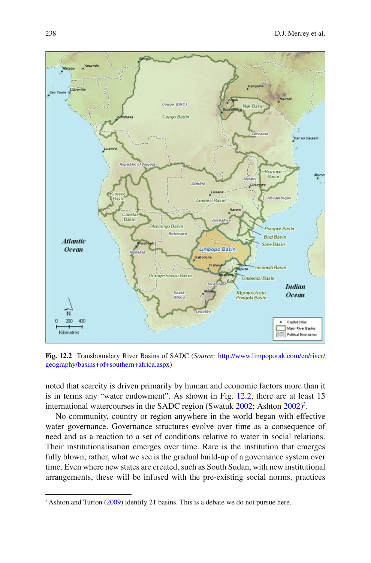

 **Fig. 12.2** Transboundary River Basins of SADC ( *Source:* [http://www.limpoporak.com/en/river/](http://www.limpoporak.com/en/river/geography/basins+of+southern+africa.aspx) [geography/basins+of+southern+africa.aspx](http://www.limpoporak.com/en/river/geography/basins+of+southern+africa.aspx) )

noted that scarcity is driven primarily by human and economic factors more than it is in terms any "water endowment". As shown in Fig. 12.2 , there are at least 15 international watercourses in the SADC region (Swatuk [2002](#page-21-0); Ashton 2002)<sup>3</sup>.

 No community, country or region anywhere in the world began with effective water governance. Governance structures evolve over time as a consequence of need and as a reaction to a set of conditions relative to water in social relations. Their institutionalisation emerges over time. Rare is the institution that emerges fully blown; rather, what we see is the gradual build-up of a governance system over time. Even where new states are created, such as South Sudan, with new institutional arrangements, these will be infused with the pre-existing social norms, practices

 $3$  Ashton and Turton (2009) identify 21 basins. This is a debate we do not pursue here.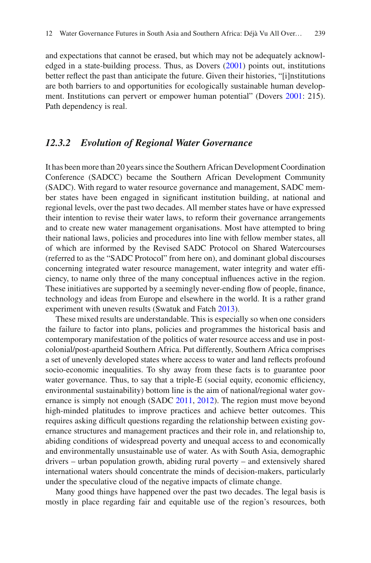and expectations that cannot be erased, but which may not be adequately acknowledged in a state-building process. Thus, as Dovers  $(2001)$  points out, institutions better reflect the past than anticipate the future. Given their histories, "[i]nstitutions are both barriers to and opportunities for ecologically sustainable human develop-ment. Institutions can pervert or empower human potential" (Dovers [2001](#page-19-0): 215). Path dependency is real.

#### *12.3.2 Evolution of Regional Water Governance*

 It has been more than 20 years since the Southern African Development Coordination Conference (SADCC) became the Southern African Development Community (SADC). With regard to water resource governance and management, SADC member states have been engaged in significant institution building, at national and regional levels, over the past two decades. All member states have or have expressed their intention to revise their water laws, to reform their governance arrangements and to create new water management organisations. Most have attempted to bring their national laws, policies and procedures into line with fellow member states, all of which are informed by the Revised SADC Protocol on Shared Watercourses (referred to as the "SADC Protocol" from here on), and dominant global discourses concerning integrated water resource management, water integrity and water efficiency, to name only three of the many conceptual influences active in the region. These initiatives are supported by a seemingly never-ending flow of people, finance, technology and ideas from Europe and elsewhere in the world. It is a rather grand experiment with uneven results (Swatuk and Fatch [2013](#page-21-0)).

 These mixed results are understandable. This is especially so when one considers the failure to factor into plans, policies and programmes the historical basis and contemporary manifestation of the politics of water resource access and use in postcolonial/post-apartheid Southern Africa. Put differently, Southern Africa comprises a set of unevenly developed states where access to water and land reflects profound socio-economic inequalities. To shy away from these facts is to guarantee poor water governance. Thus, to say that a triple-E (social equity, economic efficiency, environmental sustainability) bottom line is the aim of national/regional water gov-ernance is simply not enough (SADC [2011](#page-20-0), 2012). The region must move beyond high-minded platitudes to improve practices and achieve better outcomes. This requires asking difficult questions regarding the relationship between existing governance structures and management practices and their role in, and relationship to, abiding conditions of widespread poverty and unequal access to and economically and environmentally unsustainable use of water. As with South Asia, demographic drivers – urban population growth, abiding rural poverty – and extensively shared international waters should concentrate the minds of decision-makers, particularly under the speculative cloud of the negative impacts of climate change.

 Many good things have happened over the past two decades. The legal basis is mostly in place regarding fair and equitable use of the region's resources, both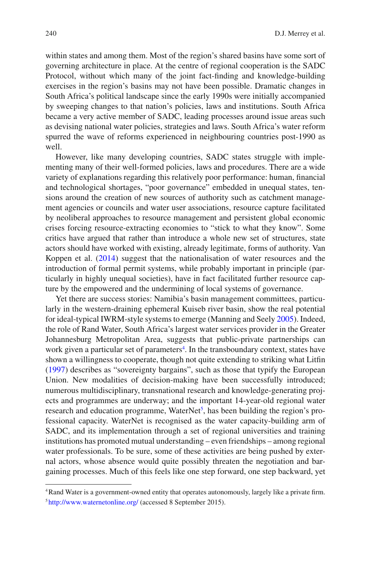within states and among them. Most of the region's shared basins have some sort of governing architecture in place. At the centre of regional cooperation is the SADC Protocol, without which many of the joint fact-finding and knowledge-building exercises in the region's basins may not have been possible. Dramatic changes in South Africa's political landscape since the early 1990s were initially accompanied by sweeping changes to that nation's policies, laws and institutions. South Africa became a very active member of SADC, leading processes around issue areas such as devising national water policies, strategies and laws. South Africa's water reform spurred the wave of reforms experienced in neighbouring countries post-1990 as well.

 However, like many developing countries, SADC states struggle with implementing many of their well-formed policies, laws and procedures. There are a wide variety of explanations regarding this relatively poor performance: human, financial and technological shortages, "poor governance" embedded in unequal states, tensions around the creation of new sources of authority such as catchment management agencies or councils and water user associations, resource capture facilitated by neoliberal approaches to resource management and persistent global economic crises forcing resource-extracting economies to "stick to what they know". Some critics have argued that rather than introduce a whole new set of structures, state actors should have worked with existing, already legitimate, forms of authority. Van Koppen et al.  $(2014)$  suggest that the nationalisation of water resources and the introduction of formal permit systems, while probably important in principle (particularly in highly unequal societies), have in fact facilitated further resource capture by the empowered and the undermining of local systems of governance.

 Yet there are success stories: Namibia's basin management committees, particularly in the western-draining ephemeral Kuiseb river basin, show the real potential for ideal-typical IWRM-style systems to emerge (Manning and Seely [2005](#page-20-0) ). Indeed, the role of Rand Water, South Africa's largest water services provider in the Greater Johannesburg Metropolitan Area, suggests that public-private partnerships can work given a particular set of parameters<sup>4</sup>. In the transboundary context, states have shown a willingness to cooperate, though not quite extending to striking what Litfin [\( 1997](#page-20-0) ) describes as "sovereignty bargains", such as those that typify the European Union. New modalities of decision-making have been successfully introduced; numerous multidisciplinary, transnational research and knowledge-generating projects and programmes are underway; and the important 14-year-old regional water research and education programme, WaterNet<sup>5</sup>, has been building the region's professional capacity. WaterNet is recognised as the water capacity-building arm of SADC, and its implementation through a set of regional universities and training institutions has promoted mutual understanding – even friendships – among regional water professionals. To be sure, some of these activities are being pushed by external actors, whose absence would quite possibly threaten the negotiation and bargaining processes. Much of this feels like one step forward, one step backward, yet

<sup>&</sup>lt;sup>4</sup> Rand Water is a government-owned entity that operates autonomously, largely like a private firm. 5 <http://www.waternetonline.org/>(accessed 8 September 2015).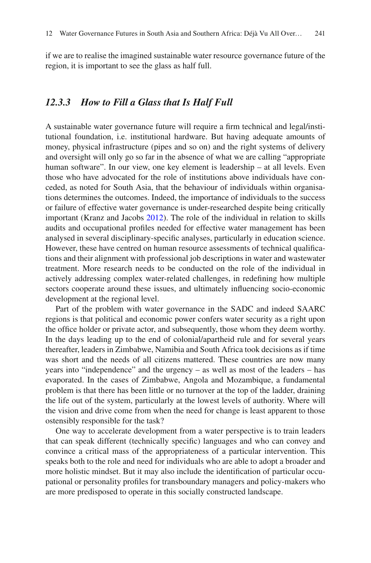if we are to realise the imagined sustainable water resource governance future of the region, it is important to see the glass as half full.

#### *12.3.3 How to Fill a Glass that Is Half Full*

A sustainable water governance future will require a firm technical and legal/institutional foundation, i.e. institutional hardware. But having adequate amounts of money, physical infrastructure (pipes and so on) and the right systems of delivery and oversight will only go so far in the absence of what we are calling "appropriate human software". In our view, one key element is leadership – at all levels. Even those who have advocated for the role of institutions above individuals have conceded, as noted for South Asia, that the behaviour of individuals within organisations determines the outcomes. Indeed, the importance of individuals to the success or failure of effective water governance is under-researched despite being critically important (Kranz and Jacobs 2012). The role of the individual in relation to skills audits and occupational profiles needed for effective water management has been analysed in several disciplinary-specific analyses, particularly in education science. However, these have centred on human resource assessments of technical qualifications and their alignment with professional job descriptions in water and wastewater treatment. More research needs to be conducted on the role of the individual in actively addressing complex water-related challenges, in redefining how multiple sectors cooperate around these issues, and ultimately influencing socio-economic development at the regional level.

 Part of the problem with water governance in the SADC and indeed SAARC regions is that political and economic power confers water security as a right upon the office holder or private actor, and subsequently, those whom they deem worthy. In the days leading up to the end of colonial/apartheid rule and for several years thereafter, leaders in Zimbabwe, Namibia and South Africa took decisions as if time was short and the needs of all citizens mattered. These countries are now many years into "independence" and the urgency – as well as most of the leaders – has evaporated. In the cases of Zimbabwe, Angola and Mozambique, a fundamental problem is that there has been little or no turnover at the top of the ladder, draining the life out of the system, particularly at the lowest levels of authority. Where will the vision and drive come from when the need for change is least apparent to those ostensibly responsible for the task?

 One way to accelerate development from a water perspective is to train leaders that can speak different (technically specific) languages and who can convey and convince a critical mass of the appropriateness of a particular intervention. This speaks both to the role and need for individuals who are able to adopt a broader and more holistic mindset. But it may also include the identification of particular occupational or personality profiles for transboundary managers and policy-makers who are more predisposed to operate in this socially constructed landscape.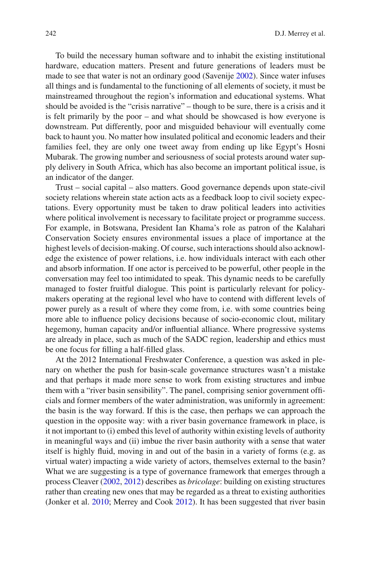To build the necessary human software and to inhabit the existing institutional hardware, education matters. Present and future generations of leaders must be made to see that water is not an ordinary good (Savenije 2002). Since water infuses all things and is fundamental to the functioning of all elements of society, it must be mainstreamed throughout the region's information and educational systems. What should be avoided is the "crisis narrative" – though to be sure, there is a crisis and it is felt primarily by the poor – and what should be showcased is how everyone is downstream. Put differently, poor and misguided behaviour will eventually come back to haunt you. No matter how insulated political and economic leaders and their families feel, they are only one tweet away from ending up like Egypt's Hosni Mubarak. The growing number and seriousness of social protests around water supply delivery in South Africa, which has also become an important political issue, is an indicator of the danger.

 Trust – social capital – also matters. Good governance depends upon state-civil society relations wherein state action acts as a feedback loop to civil society expectations. Every opportunity must be taken to draw political leaders into activities where political involvement is necessary to facilitate project or programme success. For example, in Botswana, President Ian Khama's role as patron of the Kalahari Conservation Society ensures environmental issues a place of importance at the highest levels of decision-making. Of course, such interactions should also acknowledge the existence of power relations, i.e. how individuals interact with each other and absorb information. If one actor is perceived to be powerful, other people in the conversation may feel too intimidated to speak. This dynamic needs to be carefully managed to foster fruitful dialogue. This point is particularly relevant for policymakers operating at the regional level who have to contend with different levels of power purely as a result of where they come from, i.e. with some countries being more able to influence policy decisions because of socio-economic clout, military hegemony, human capacity and/or influential alliance. Where progressive systems are already in place, such as much of the SADC region, leadership and ethics must be one focus for filling a half-filled glass.

 At the 2012 International Freshwater Conference, a question was asked in plenary on whether the push for basin-scale governance structures wasn't a mistake and that perhaps it made more sense to work from existing structures and imbue them with a "river basin sensibility". The panel, comprising senior government offi cials and former members of the water administration, was uniformly in agreement: the basin is the way forward. If this is the case, then perhaps we can approach the question in the opposite way: with a river basin governance framework in place, is it not important to (i) embed this level of authority within existing levels of authority in meaningful ways and (ii) imbue the river basin authority with a sense that water itself is highly fluid, moving in and out of the basin in a variety of forms (e.g. as virtual water) impacting a wide variety of actors, themselves external to the basin? What we are suggesting is a type of governance framework that emerges through a process Cleaver (2002, 2012) describes as *bricolage*: building on existing structures rather than creating new ones that may be regarded as a threat to existing authorities (Jonker et al. 2010; Merrey and Cook [2012](#page-20-0)). It has been suggested that river basin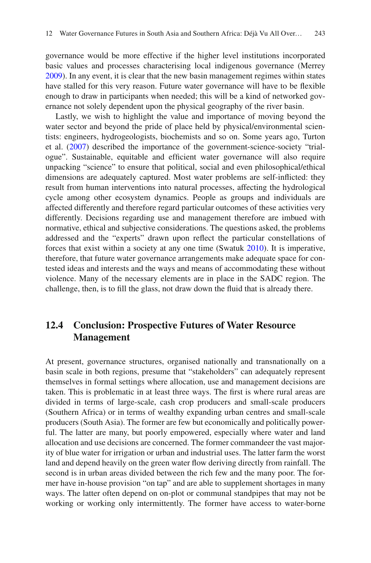<span id="page-14-0"></span>governance would be more effective if the higher level institutions incorporated basic values and processes characterising local indigenous governance (Merrey [2009 \)](#page-20-0). In any event, it is clear that the new basin management regimes within states have stalled for this very reason. Future water governance will have to be flexible enough to draw in participants when needed; this will be a kind of networked governance not solely dependent upon the physical geography of the river basin.

 Lastly, we wish to highlight the value and importance of moving beyond the water sector and beyond the pride of place held by physical/environmental scientists: engineers, hydrogeologists, biochemists and so on. Some years ago, Turton et al. [\( 2007](#page-21-0) ) described the importance of the government-science-society "trialogue". Sustainable, equitable and efficient water governance will also require unpacking "science" to ensure that political, social and even philosophical/ethical dimensions are adequately captured. Most water problems are self-inflicted: they result from human interventions into natural processes, affecting the hydrological cycle among other ecosystem dynamics. People as groups and individuals are affected differently and therefore regard particular outcomes of these activities very differently. Decisions regarding use and management therefore are imbued with normative, ethical and subjective considerations. The questions asked, the problems addressed and the "experts" drawn upon reflect the particular constellations of forces that exist within a society at any one time (Swatuk [2010](#page-21-0)). It is imperative, therefore, that future water governance arrangements make adequate space for contested ideas and interests and the ways and means of accommodating these without violence. Many of the necessary elements are in place in the SADC region. The challenge, then, is to fill the glass, not draw down the fluid that is already there.

## **12.4 Conclusion: Prospective Futures of Water Resource Management**

 At present, governance structures, organised nationally and transnationally on a basin scale in both regions, presume that "stakeholders" can adequately represent themselves in formal settings where allocation, use and management decisions are taken. This is problematic in at least three ways. The first is where rural areas are divided in terms of large-scale, cash crop producers and small-scale producers (Southern Africa) or in terms of wealthy expanding urban centres and small-scale producers (South Asia). The former are few but economically and politically powerful. The latter are many, but poorly empowered, especially where water and land allocation and use decisions are concerned. The former commandeer the vast majority of blue water for irrigation or urban and industrial uses. The latter farm the worst land and depend heavily on the green water flow deriving directly from rainfall. The second is in urban areas divided between the rich few and the many poor. The former have in-house provision "on tap" and are able to supplement shortages in many ways. The latter often depend on on-plot or communal standpipes that may not be working or working only intermittently. The former have access to water-borne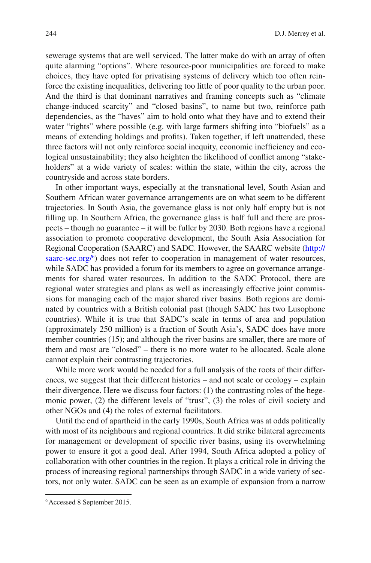sewerage systems that are well serviced. The latter make do with an array of often quite alarming "options". Where resource-poor municipalities are forced to make choices, they have opted for privatising systems of delivery which too often reinforce the existing inequalities, delivering too little of poor quality to the urban poor. And the third is that dominant narratives and framing concepts such as "climate change-induced scarcity" and "closed basins", to name but two, reinforce path dependencies, as the "haves" aim to hold onto what they have and to extend their water "rights" where possible (e.g. with large farmers shifting into "biofuels" as a means of extending holdings and profits). Taken together, if left unattended, these three factors will not only reinforce social inequity, economic inefficiency and ecological unsustainability; they also heighten the likelihood of conflict among "stakeholders" at a wide variety of scales: within the state, within the city, across the countryside and across state borders.

 In other important ways, especially at the transnational level, South Asian and Southern African water governance arrangements are on what seem to be different trajectories. In South Asia, the governance glass is not only half empty but is not filling up. In Southern Africa, the governance glass is half full and there are prospects – though no guarantee – it will be fuller by 2030. Both regions have a regional association to promote cooperative development, the South Asia Association for Regional Cooperation (SAARC) and SADC. However, the SAARC website ([http://](http://saarc-sec.org/) saarc-sec.org/<sup>6</sup>) does not refer to cooperation in management of water resources, while SADC has provided a forum for its members to agree on governance arrangements for shared water resources. In addition to the SADC Protocol, there are regional water strategies and plans as well as increasingly effective joint commissions for managing each of the major shared river basins. Both regions are dominated by countries with a British colonial past (though SADC has two Lusophone countries). While it is true that SADC's scale in terms of area and population (approximately 250 million) is a fraction of South Asia's, SADC does have more member countries (15); and although the river basins are smaller, there are more of them and most are "closed" – there is no more water to be allocated. Scale alone cannot explain their contrasting trajectories.

While more work would be needed for a full analysis of the roots of their differences, we suggest that their different histories – and not scale or ecology – explain their divergence. Here we discuss four factors: (1) the contrasting roles of the hegemonic power, (2) the different levels of "trust", (3) the roles of civil society and other NGOs and (4) the roles of external facilitators.

 Until the end of apartheid in the early 1990s, South Africa was at odds politically with most of its neighbours and regional countries. It did strike bilateral agreements for management or development of specific river basins, using its overwhelming power to ensure it got a good deal. After 1994, South Africa adopted a policy of collaboration with other countries in the region. It plays a critical role in driving the process of increasing regional partnerships through SADC in a wide variety of sectors, not only water. SADC can be seen as an example of expansion from a narrow

<sup>6</sup> Accessed 8 September 2015.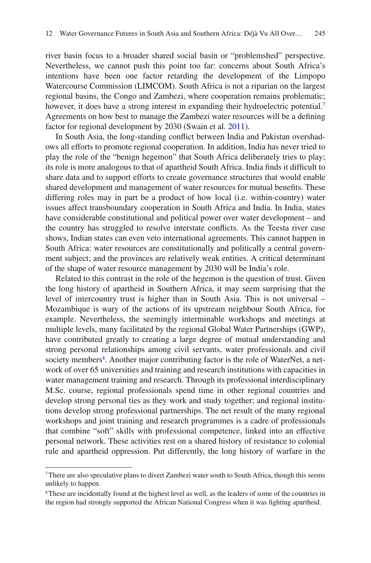river basin focus to a broader shared social basin or "problemshed" perspective. Nevertheless, we cannot push this point too far: concerns about South Africa's intentions have been one factor retarding the development of the Limpopo Watercourse Commission (LIMCOM). South Africa is not a riparian on the largest regional basins, the Congo and Zambezi, where cooperation remains problematic; however, it does have a strong interest in expanding their hydroelectric potential.<sup>7</sup> Agreements on how best to manage the Zambezi water resources will be a defining factor for regional development by 2030 (Swain et al. [2011](#page-21-0)).

In South Asia, the long-standing conflict between India and Pakistan overshadows all efforts to promote regional cooperation. In addition, India has never tried to play the role of the "benign hegemon" that South Africa deliberately tries to play; its role is more analogous to that of apartheid South Africa. India finds it difficult to share data and to support efforts to create governance structures that would enable shared development and management of water resources for mutual benefits. These differing roles may in part be a product of how local (i.e. within-country) water issues affect transboundary cooperation in South Africa and India. In India, states have considerable constitutional and political power over water development – and the country has struggled to resolve interstate conflicts. As the Teesta river case shows, Indian states can even veto international agreements. This cannot happen in South Africa: water resources are constitutionally and politically a central government subject; and the provinces are relatively weak entities. A critical determinant of the shape of water resource management by 2030 will be India's role.

 Related to this contrast in the role of the hegemon is the question of trust. Given the long history of apartheid in Southern Africa, it may seem surprising that the level of intercountry trust is higher than in South Asia. This is not universal – Mozambique is wary of the actions of its upstream neighbour South Africa, for example. Nevertheless, the seemingly interminable workshops and meetings at multiple levels, many facilitated by the regional Global Water Partnerships (GWP), have contributed greatly to creating a large degree of mutual understanding and strong personal relationships among civil servants, water professionals and civil society members<sup>8</sup>. Another major contributing factor is the role of WaterNet, a network of over 65 universities and training and research institutions with capacities in water management training and research. Through its professional interdisciplinary M.Sc. course, regional professionals spend time in other regional countries and develop strong personal ties as they work and study together; and regional institutions develop strong professional partnerships. The net result of the many regional workshops and joint training and research programmes is a cadre of professionals that combine "soft" skills with professional competence, linked into an effective personal network. These activities rest on a shared history of resistance to colonial rule and apartheid oppression. Put differently, the long history of warfare in the

<sup>7</sup> There are also speculative plans to divert Zambezi water south to South Africa, though this seems unlikely to happen.

<sup>&</sup>lt;sup>8</sup>These are incidentally found at the highest level as well, as the leaders of some of the countries in the region had strongly supported the African National Congress when it was fighting apartheid.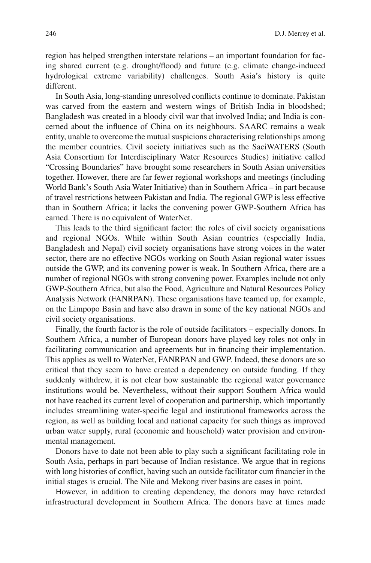region has helped strengthen interstate relations – an important foundation for facing shared current (e.g. drought/flood) and future (e.g. climate change-induced hydrological extreme variability) challenges. South Asia's history is quite different.

In South Asia, long-standing unresolved conflicts continue to dominate. Pakistan was carved from the eastern and western wings of British India in bloodshed; Bangladesh was created in a bloody civil war that involved India; and India is concerned about the influence of China on its neighbours. SAARC remains a weak entity, unable to overcome the mutual suspicions characterising relationships among the member countries. Civil society initiatives such as the SaciWATERS (South Asia Consortium for Interdisciplinary Water Resources Studies) initiative called "Crossing Boundaries" have brought some researchers in South Asian universities together. However, there are far fewer regional workshops and meetings (including World Bank's South Asia Water Initiative) than in Southern Africa – in part because of travel restrictions between Pakistan and India. The regional GWP is less effective than in Southern Africa; it lacks the convening power GWP-Southern Africa has earned. There is no equivalent of WaterNet.

This leads to the third significant factor: the roles of civil society organisations and regional NGOs. While within South Asian countries (especially India, Bangladesh and Nepal) civil society organisations have strong voices in the water sector, there are no effective NGOs working on South Asian regional water issues outside the GWP, and its convening power is weak. In Southern Africa, there are a number of regional NGOs with strong convening power. Examples include not only GWP-Southern Africa, but also the Food, Agriculture and Natural Resources Policy Analysis Network (FANRPAN). These organisations have teamed up, for example, on the Limpopo Basin and have also drawn in some of the key national NGOs and civil society organisations.

 Finally, the fourth factor is the role of outside facilitators – especially donors. In Southern Africa, a number of European donors have played key roles not only in facilitating communication and agreements but in financing their implementation. This applies as well to WaterNet, FANRPAN and GWP. Indeed, these donors are so critical that they seem to have created a dependency on outside funding. If they suddenly withdrew, it is not clear how sustainable the regional water governance institutions would be. Nevertheless, without their support Southern Africa would not have reached its current level of cooperation and partnership, which importantly includes streamlining water-specific legal and institutional frameworks across the region, as well as building local and national capacity for such things as improved urban water supply, rural (economic and household) water provision and environmental management.

Donors have to date not been able to play such a significant facilitating role in South Asia, perhaps in part because of Indian resistance. We argue that in regions with long histories of conflict, having such an outside facilitator cum financier in the initial stages is crucial. The Nile and Mekong river basins are cases in point.

 However, in addition to creating dependency, the donors may have retarded infrastructural development in Southern Africa. The donors have at times made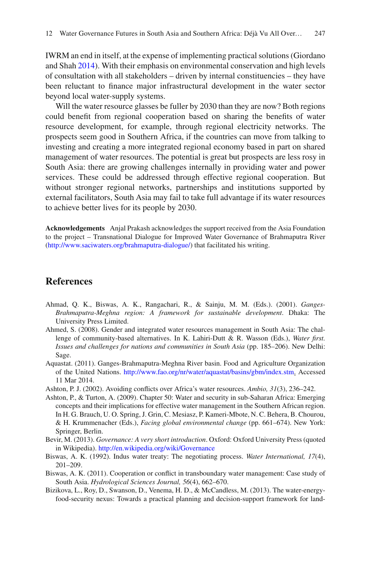<span id="page-18-0"></span>IWRM an end in itself, at the expense of implementing practical solutions (Giordano and Shah [2014](#page-19-0)). With their emphasis on environmental conservation and high levels of consultation with all stakeholders – driven by internal constituencies – they have been reluctant to finance major infrastructural development in the water sector beyond local water-supply systems.

Will the water resource glasses be fuller by 2030 than they are now? Both regions could benefit from regional cooperation based on sharing the benefits of water resource development, for example, through regional electricity networks. The prospects seem good in Southern Africa, if the countries can move from talking to investing and creating a more integrated regional economy based in part on shared management of water resources. The potential is great but prospects are less rosy in South Asia: there are growing challenges internally in providing water and power services. These could be addressed through effective regional cooperation. But without stronger regional networks, partnerships and institutions supported by external facilitators, South Asia may fail to take full advantage if its water resources to achieve better lives for its people by 2030.

 **Acknowledgements** Anjal Prakash acknowledges the support received from the Asia Foundation to the project – Transnational Dialogue for Improved Water Governance of Brahmaputra River (<http://www.saciwaters.org/brahmaputra-dialogue/>) that facilitated his writing.

## **References**

- Ahmad, Q. K., Biswas, A. K., Rangachari, R., & Sainju, M. M. (Eds.). (2001). *Ganges-Brahmaputra- Meghna region: A framework for sustainable development* . Dhaka: The University Press Limited.
- Ahmed, S. (2008). Gender and integrated water resources management in South Asia: The challenge of community-based alternatives. In K. Lahiri-Dutt & R. Wasson (Eds.), Water first. *Issues and challenges for nations and communities in South Asia* (pp. 185–206). New Delhi: Sage.
- Aquastat. (2011). Ganges-Brahmaputra-Meghna River basin. Food and Agriculture Organization of the United Nations. <http://www.fao.org/nr/water/aquastat/basins/gbm/index.stm> . Accessed 11 Mar 2014.
- Ashton, P. J. (2002). Avoiding conflicts over Africa's water resources. Ambio, 31(3), 236-242.
- Ashton, P., & Turton, A. (2009). Chapter 50: Water and security in sub-Saharan Africa: Emerging concepts and their implications for effective water management in the Southern African region. In H. G. Brauch, U. O. Spring, J. Grin, C. Mesiasz, P. Kameri-Mbote, N. C. Behera, B. Chourou, & H. Krummenacher (Eds.), *Facing global environmental change* (pp. 661–674). New York: Springer, Berlin.
- Bevir, M. (2013). *Governance: A very short introduction* . Oxford: Oxford University Press (quoted in Wikipedia). <http://en.wikipedia.org/wiki/Governance>
- Biswas, A. K. (1992). Indus water treaty: The negotiating process. *Water International, 17* (4), 201–209.
- Biswas, A. K. (2011). Cooperation or conflict in transboundary water management: Case study of South Asia. *Hydrological Sciences Journal, 56* (4), 662–670.
- Bizikova, L., Roy, D., Swanson, D., Venema, H. D., & McCandless, M. (2013). The water-energyfood-security nexus: Towards a practical planning and decision-support framework for land-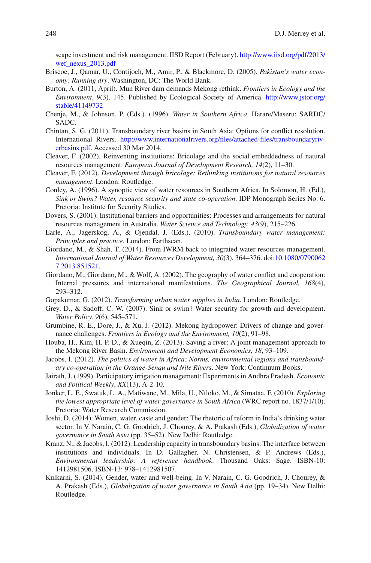<span id="page-19-0"></span>scape investment and risk management. IISD Report (February). [http://www.iisd.org/pdf/2013/](http://www.iisd.org/pdf/2013/wef_nexus_2013.pdf) wef nexus 2013.pdf

- Briscoe, J., Qamar, U., Contijoch, M., Amir, P., & Blackmore, D. (2005). *Pakistan's water economy: Running dry* . Washington, DC: The World Bank.
- Burton, A. (2011, April). Mun River dam demands Mekong rethink. *Frontiers in Ecology and the Environment*, 9(3), 145. Published by Ecological Society of America. [http://www.jstor.org/](http://www.jstor.org/stable/41149732) [stable/41149732](http://www.jstor.org/stable/41149732)
- Chenje, M., & Johnson, P. (Eds.). (1996). *Water in Southern Africa* . Harare/Maseru: SARDC/ SADC.
- Chintan, S. G. (2011). Transboundary river basins in South Asia: Options for conflict resolution. International Rivers. http://www.internationalrivers.org/files/attached-files/transboundaryriv[erbasins.pdf](http://www.internationalrivers.org/files/attached-files/transboundaryriverbasins.pdf). Accessed 30 Mar 2014.
- Cleaver, F. (2002). Reinventing institutions: Bricolage and the social embeddedness of natural resources management. *European Journal of Development Research, 14* (2), 11–30.
- Cleaver, F. (2012). *Development through bricolage: Rethinking institutions for natural resources management* . London: Routledge.
- Conley, A. (1996). A synoptic view of water resources in Southern Africa. In Solomon, H. (Ed.), *Sink or Swim? Water, resource security and state co-operation* . IDP Monograph Series No. 6. Pretoria: Institute for Security Studies.
- Dovers, S. (2001). Institutional barriers and opportunities: Processes and arrangements for natural resources management in Australia. *Water Science and Technology, 43* (9), 215–226.
- Earle, A., Jagerskog, A., & Ojendal, J. (Eds.). (2010). *Transboundary water management: Principles and practice* . London: Earthscan.
- Giordano, M., & Shah, T. (2014). From IWRM back to integrated water resources management. *International Journal of Water Resources Development, 30* (3), 364–376. doi:[10.1080/0790062](http://dx.doi.org/10.1080/07900627.2013.851521) [7.2013.851521.](http://dx.doi.org/10.1080/07900627.2013.851521)
- Giordano, M., Giordano, M., & Wolf, A. (2002). The geography of water conflict and cooperation: Internal pressures and international manifestations. *The Geographical Journal*, 168(4), 293–312.
- Gopakumar, G. (2012). *Transforming urban water supplies in India* . London: Routledge.
- Grey, D., & Sadoff, C. W. (2007). Sink or swim? Water security for growth and development. *Water Policy, 9(6), 545-571.*
- Grumbine, R. E., Dore, J., & Xu, J. (2012). Mekong hydropower: Drivers of change and governance challenges. *Frontiers in Ecology and the Environment*, 10(2), 91–98.
- Houba, H., Kim, H. P. D., & Xueqin, Z. (2013). Saving a river: A joint management approach to the Mekong River Basin. *Environment and Development Economics*, 18, 93-109.
- Jacobs, I. (2012). *The politics of water in Africa: Norms, environmental regions and transboundary co-operation in the Orange-Senqu and Nile Rivers* . New York: Continuum Books.
- Jairath, J. (1999). Participatory irrigation management: Experiments in Andhra Pradesh. *Economic and Political Weekly* , *XX* (13), A-2-10.
- Jonker, L. E., Swatuk, L. A., Matiwane, M., Mila, U., Ntloko, M., & Simataa, F. (2010). *Exploring the lowest appropriate level of water governance in South Africa* (WRC report no. 1837/1/10). Pretoria: Water Research Commission.
- Joshi, D. (2014). Women, water, caste and gender: The rhetoric of reform in India's drinking water sector. In V. Narain, C. G. Goodrich, J. Chourey, & A. Prakash (Eds.), *Globalization of water governance in South Asia* (pp. 35–52). New Delhi: Routledge.
- Kranz, N., & Jacobs, I. (2012). Leadership capacity in transboundary basins: The interface between institutions and individuals. In D. Gallagher, N. Christensen, & P. Andrews (Eds.), *Environmental leadership: A reference handbook* . Thousand Oaks: Sage. ISBN-10: 1412981506, ISBN-13: 978–1412981507.
- Kulkarni, S. (2014). Gender, water and well-being. In V. Narain, C. G. Goodrich, J. Chourey, & A. Prakash (Eds.), *Globalization of water governance in South Asia* (pp. 19–34). New Delhi: Routledge.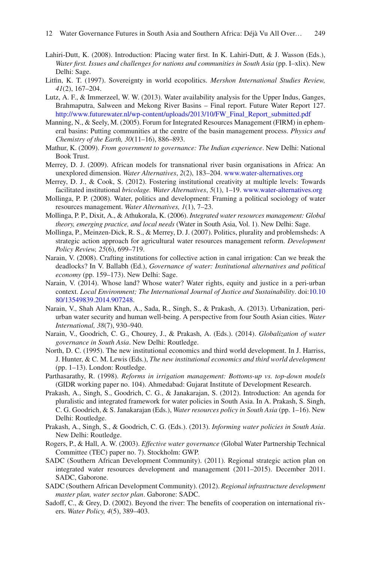- <span id="page-20-0"></span>Lahiri-Dutt, K. (2008). Introduction: Placing water first. In K. Lahiri-Dutt, & J. Wasson (Eds.), *Water first. Issues and challenges for nations and communities in South Asia* (pp. I–xlix). New Delhi: Sage.
- Litfin, K. T. (1997). Sovereignty in world ecopolitics. *Mershon International Studies Review*, *41* (2), 167–204.
- Lutz, A. F., & Immerzeel, W. W. (2013). Water availability analysis for the Upper Indus, Ganges, Brahmaputra, Salween and Mekong River Basins – Final report. Future Water Report 127.  [http://www.futurewater.nl/wp-content/uploads/2013/10/FW\\_Final\\_Report\\_submitted.pdf](http://www.futurewater.nl/wp-content/uploads/2013/10/FW_Final_Report_submitted.pdf)
- Manning, N., & Seely, M. (2005). Forum for Integrated Resources Management (FIRM) in ephemeral basins: Putting communities at the centre of the basin management process. *Physics and Chemistry of the Earth, 30*(11–16), 886–893.
- Mathur, K. (2009). *From government to governance: The Indian experience* . New Delhi: National Book Trust.
- Merrey, D. J. (2009). African models for transnational river basin organisations in Africa: An unexplored dimension. *Water Alternatives* , *2* (2), 183–204. [www.water-alternatives.org](http://www.water-alternatives.org/)
- Merrey, D. J., & Cook, S. (2012). Fostering institutional creativity at multiple levels: Towards facilitated institutional *bricolage. Water Alternatives* , *5* (1), 1–19. [www.water-alternatives.org](http://www.water-alternatives.org/)
- Mollinga, P. P. (2008). Water, politics and development: Framing a political sociology of water resources management. *Water Alternatives, 1* (1), 7–23.
- Mollinga, P. P., Dixit, A., & Athukorala, K. (2006). *Integrated water resources management: Global theory, emerging practice, and local needs* (Water in South Asia, Vol. 1). New Delhi: Sage.
- Mollinga, P., Meinzen-Dick, R. S., & Merrey, D. J. (2007). Politics, plurality and problemsheds: A strategic action approach for agricultural water resources management reform. *Development Policy Review, 25* (6), 699–719.
- Narain, V. (2008). Crafting institutions for collective action in canal irrigation: Can we break the deadlocks? In V. Ballabh (Ed.), *Governance of water: Institutional alternatives and political economy* (pp. 159–173). New Delhi: Sage.
- Narain, V. (2014). Whose land? Whose water? Water rights, equity and justice in a peri-urban context. *Local Environment; The International Journal of Justice and Sustainability* . doi[:10.10](http://dx.doi.org/10.1080/13549839.2014.907248) [80/13549839.2014.907248](http://dx.doi.org/10.1080/13549839.2014.907248).
- Narain, V., Shah Alam Khan, A., Sada, R., Singh, S., & Prakash, A. (2013). Urbanization, periurban water security and human well-being. A perspective from four South Asian cities. *Water International, 38* (7), 930–940.
- Narain, V., Goodrich, C. G., Chourey, J., & Prakash, A. (Eds.). (2014). *Globalization of water governance in South Asia* . New Delhi: Routledge.
- North, D. C. (1995). The new institutional economics and third world development. In J. Harriss, J. Hunter, & C. M. Lewis (Eds.), *The new institutional economics and third world development* (pp. 1–13). London: Routledge.
- Parthasarathy, R. (1998). *Reforms in irrigation management: Bottoms-up vs. top-down models* (GIDR working paper no. 104). Ahmedabad: Gujarat Institute of Development Research.
- Prakash, A., Singh, S., Goodrich, C. G., & Janakarajan, S. (2012). Introduction: An agenda for pluralistic and integrated framework for water policies in South Asia. In A. Prakash, S. Singh, C. G. Goodrich, & S. Janakarajan (Eds.), *Water resources policy in South Asia* (pp. 1–16). New Delhi: Routledge.
- Prakash, A., Singh, S., & Goodrich, C. G. (Eds.). (2013). *Informing water policies in South Asia* . New Delhi: Routledge.
- Rogers, P., & Hall, A. W. (2003). *Effective water governance* (Global Water Partnership Technical Committee (TEC) paper no. 7). Stockholm: GWP.
- SADC (Southern African Development Community). (2011). Regional strategic action plan on integrated water resources development and management (2011–2015). December 2011. SADC, Gaborone.
- SADC (Southern African Development Community). (2012). *Regional infrastructure development master plan, water sector plan* . Gaborone: SADC.
- Sadoff, C., & Grey, D. (2002). Beyond the river: The benefits of cooperation on international rivers. *Water Policy, 4* (5), 389–403.